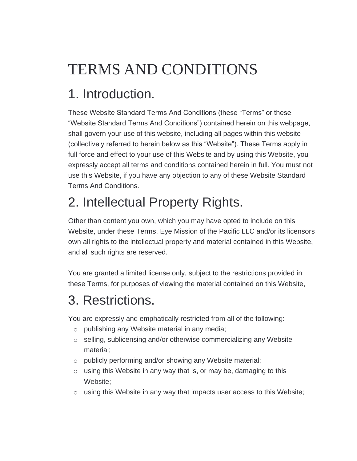# TERMS AND CONDITIONS

### 1. Introduction.

These Website Standard Terms And Conditions (these "Terms" or these "Website Standard Terms And Conditions") contained herein on this webpage, shall govern your use of this website, including all pages within this website (collectively referred to herein below as this "Website"). These Terms apply in full force and effect to your use of this Website and by using this Website, you expressly accept all terms and conditions contained herein in full. You must not use this Website, if you have any objection to any of these Website Standard Terms And Conditions.

# 2. Intellectual Property Rights.

Other than content you own, which you may have opted to include on this Website, under these Terms, Eye Mission of the Pacific LLC and/or its licensors own all rights to the intellectual property and material contained in this Website, and all such rights are reserved.

You are granted a limited license only, subject to the restrictions provided in these Terms, for purposes of viewing the material contained on this Website,

#### 3. Restrictions.

You are expressly and emphatically restricted from all of the following:

- o publishing any Website material in any media;
- o selling, sublicensing and/or otherwise commercializing any Website material;
- o publicly performing and/or showing any Website material;
- $\circ$  using this Website in any way that is, or may be, damaging to this Website;
- o using this Website in any way that impacts user access to this Website;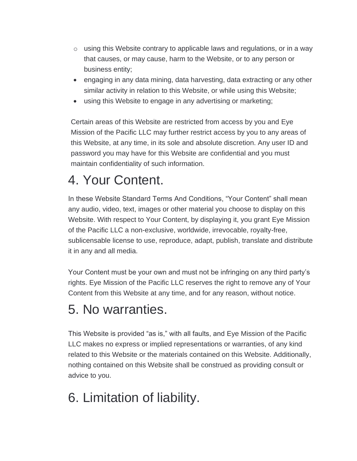- $\circ$  using this Website contrary to applicable laws and regulations, or in a way that causes, or may cause, harm to the Website, or to any person or business entity;
- engaging in any data mining, data harvesting, data extracting or any other similar activity in relation to this Website, or while using this Website;
- using this Website to engage in any advertising or marketing;

Certain areas of this Website are restricted from access by you and Eye Mission of the Pacific LLC may further restrict access by you to any areas of this Website, at any time, in its sole and absolute discretion. Any user ID and password you may have for this Website are confidential and you must maintain confidentiality of such information.

#### 4. Your Content.

In these Website Standard Terms And Conditions, "Your Content" shall mean any audio, video, text, images or other material you choose to display on this Website. With respect to Your Content, by displaying it, you grant Eye Mission of the Pacific LLC a non-exclusive, worldwide, irrevocable, royalty-free, sublicensable license to use, reproduce, adapt, publish, translate and distribute it in any and all media.

Your Content must be your own and must not be infringing on any third party's rights. Eye Mission of the Pacific LLC reserves the right to remove any of Your Content from this Website at any time, and for any reason, without notice.

#### 5. No warranties.

This Website is provided "as is," with all faults, and Eye Mission of the Pacific LLC makes no express or implied representations or warranties, of any kind related to this Website or the materials contained on this Website. Additionally, nothing contained on this Website shall be construed as providing consult or advice to you.

### 6. Limitation of liability.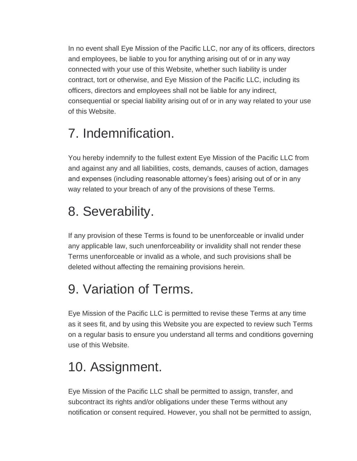In no event shall Eye Mission of the Pacific LLC, nor any of its officers, directors and employees, be liable to you for anything arising out of or in any way connected with your use of this Website, whether such liability is under contract, tort or otherwise, and Eye Mission of the Pacific LLC, including its officers, directors and employees shall not be liable for any indirect, consequential or special liability arising out of or in any way related to your use of this Website.

### 7. Indemnification.

You hereby indemnify to the fullest extent Eye Mission of the Pacific LLC from and against any and all liabilities, costs, demands, causes of action, damages and expenses (including reasonable attorney's fees) arising out of or in any way related to your breach of any of the provisions of these Terms.

### 8. Severability.

If any provision of these Terms is found to be unenforceable or invalid under any applicable law, such unenforceability or invalidity shall not render these Terms unenforceable or invalid as a whole, and such provisions shall be deleted without affecting the remaining provisions herein.

# 9. Variation of Terms.

Eye Mission of the Pacific LLC is permitted to revise these Terms at any time as it sees fit, and by using this Website you are expected to review such Terms on a regular basis to ensure you understand all terms and conditions governing use of this Website.

### 10. Assignment.

Eye Mission of the Pacific LLC shall be permitted to assign, transfer, and subcontract its rights and/or obligations under these Terms without any notification or consent required. However, you shall not be permitted to assign,